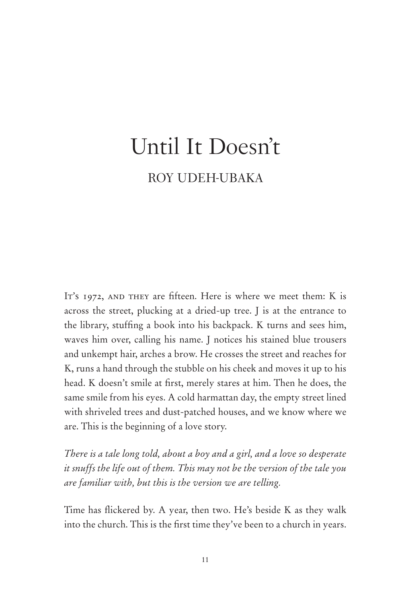# Until It Doesn't ROY UDEH-UBAKA

It's 1972, AND THEY are fifteen. Here is where we meet them: K is across the street, plucking at a dried-up tree. J is at the entrance to the library, stuffing a book into his backpack. K turns and sees him, waves him over, calling his name. J notices his stained blue trousers and unkempt hair, arches a brow. He crosses the street and reaches for K, runs a hand through the stubble on his cheek and moves it up to his head. K doesn't smile at first, merely stares at him. Then he does, the same smile from his eyes. A cold harmattan day, the empty street lined with shriveled trees and dust-patched houses, and we know where we are. This is the beginning of a love story.

*There is a tale long told, about a boy and a girl, and a love so desperate it snuffs the life out of them. This may not be the version of the tale you are familiar with, but this is the version we are telling.*

Time has flickered by. A year, then two. He's beside K as they walk into the church. This is the first time they've been to a church in years.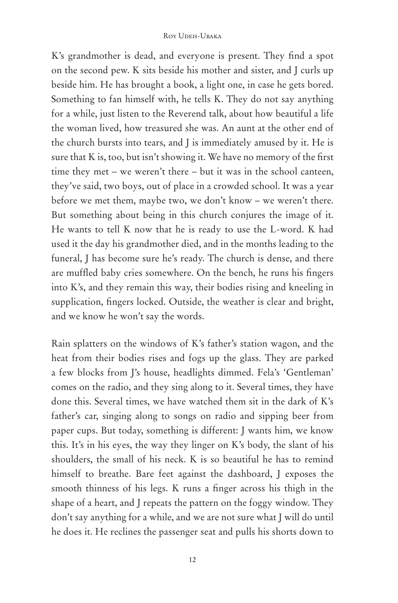#### Roy Udeh-Ubaka

K's grandmother is dead, and everyone is present. They find a spot on the second pew. K sits beside his mother and sister, and J curls up beside him. He has brought a book, a light one, in case he gets bored. Something to fan himself with, he tells K. They do not say anything for a while, just listen to the Reverend talk, about how beautiful a life the woman lived, how treasured she was. An aunt at the other end of the church bursts into tears, and J is immediately amused by it. He is sure that K is, too, but isn't showing it. We have no memory of the first time they met – we weren't there – but it was in the school canteen, they've said, two boys, out of place in a crowded school. It was a year before we met them, maybe two, we don't know – we weren't there. But something about being in this church conjures the image of it. He wants to tell K now that he is ready to use the L-word. K had used it the day his grandmother died, and in the months leading to the funeral, J has become sure he's ready. The church is dense, and there are muffled baby cries somewhere. On the bench, he runs his fingers into K's, and they remain this way, their bodies rising and kneeling in supplication, fingers locked. Outside, the weather is clear and bright, and we know he won't say the words.

Rain splatters on the windows of K's father's station wagon, and the heat from their bodies rises and fogs up the glass. They are parked a few blocks from J's house, headlights dimmed. Fela's 'Gentleman' comes on the radio, and they sing along to it. Several times, they have done this. Several times, we have watched them sit in the dark of K's father's car, singing along to songs on radio and sipping beer from paper cups. But today, something is different: J wants him, we know this. It's in his eyes, the way they linger on K's body, the slant of his shoulders, the small of his neck. K is so beautiful he has to remind himself to breathe. Bare feet against the dashboard, J exposes the smooth thinness of his legs. K runs a finger across his thigh in the shape of a heart, and J repeats the pattern on the foggy window. They don't say anything for a while, and we are not sure what J will do until he does it. He reclines the passenger seat and pulls his shorts down to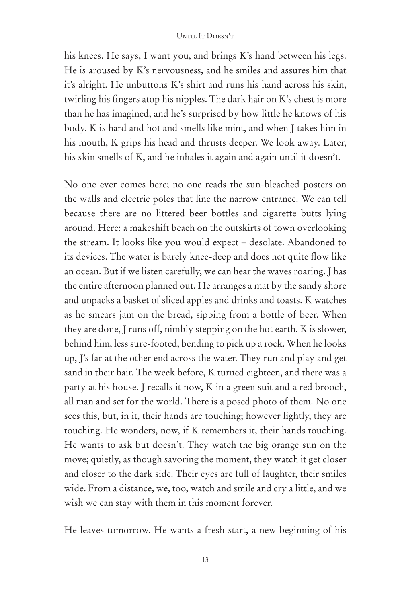his knees. He says, I want you, and brings K's hand between his legs. He is aroused by K's nervousness, and he smiles and assures him that it's alright. He unbuttons K's shirt and runs his hand across his skin, twirling his fingers atop his nipples. The dark hair on K's chest is more than he has imagined, and he's surprised by how little he knows of his body. K is hard and hot and smells like mint, and when J takes him in his mouth, K grips his head and thrusts deeper. We look away. Later, his skin smells of K, and he inhales it again and again until it doesn't.

No one ever comes here; no one reads the sun-bleached posters on the walls and electric poles that line the narrow entrance. We can tell because there are no littered beer bottles and cigarette butts lying around. Here: a makeshift beach on the outskirts of town overlooking the stream. It looks like you would expect – desolate. Abandoned to its devices. The water is barely knee-deep and does not quite flow like an ocean. But if we listen carefully, we can hear the waves roaring. J has the entire afternoon planned out. He arranges a mat by the sandy shore and unpacks a basket of sliced apples and drinks and toasts. K watches as he smears jam on the bread, sipping from a bottle of beer. When they are done, J runs off, nimbly stepping on the hot earth. K is slower, behind him, less sure-footed, bending to pick up a rock. When he looks up, J's far at the other end across the water. They run and play and get sand in their hair. The week before, K turned eighteen, and there was a party at his house. J recalls it now, K in a green suit and a red brooch, all man and set for the world. There is a posed photo of them. No one sees this, but, in it, their hands are touching; however lightly, they are touching. He wonders, now, if K remembers it, their hands touching. He wants to ask but doesn't. They watch the big orange sun on the move; quietly, as though savoring the moment, they watch it get closer and closer to the dark side. Their eyes are full of laughter, their smiles wide. From a distance, we, too, watch and smile and cry a little, and we wish we can stay with them in this moment forever.

He leaves tomorrow. He wants a fresh start, a new beginning of his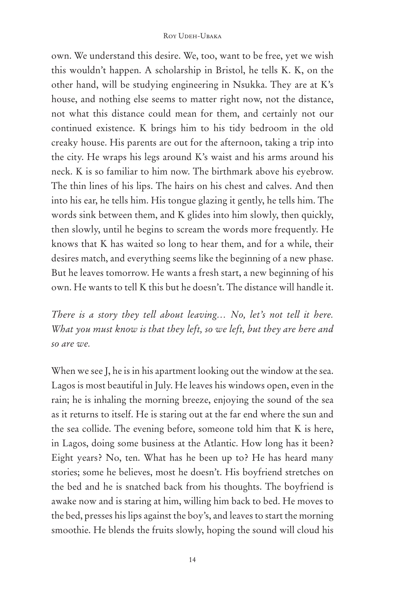own. We understand this desire. We, too, want to be free, yet we wish this wouldn't happen. A scholarship in Bristol, he tells K. K, on the other hand, will be studying engineering in Nsukka. They are at K's house, and nothing else seems to matter right now, not the distance, not what this distance could mean for them, and certainly not our continued existence. K brings him to his tidy bedroom in the old creaky house. His parents are out for the afternoon, taking a trip into the city. He wraps his legs around K's waist and his arms around his neck. K is so familiar to him now. The birthmark above his eyebrow. The thin lines of his lips. The hairs on his chest and calves. And then into his ear, he tells him. His tongue glazing it gently, he tells him. The words sink between them, and K glides into him slowly, then quickly, then slowly, until he begins to scream the words more frequently. He knows that K has waited so long to hear them, and for a while, their desires match, and everything seems like the beginning of a new phase. But he leaves tomorrow. He wants a fresh start, a new beginning of his own. He wants to tell K this but he doesn't. The distance will handle it.

*There is a story they tell about leaving… No, let's not tell it here. What you must know is that they left, so we left, but they are here and so are we.*

When we see J, he is in his apartment looking out the window at the sea. Lagos is most beautiful in July. He leaves his windows open, even in the rain; he is inhaling the morning breeze, enjoying the sound of the sea as it returns to itself. He is staring out at the far end where the sun and the sea collide. The evening before, someone told him that K is here, in Lagos, doing some business at the Atlantic. How long has it been? Eight years? No, ten. What has he been up to? He has heard many stories; some he believes, most he doesn't. His boyfriend stretches on the bed and he is snatched back from his thoughts. The boyfriend is awake now and is staring at him, willing him back to bed. He moves to the bed, presses his lips against the boy's, and leaves to start the morning smoothie. He blends the fruits slowly, hoping the sound will cloud his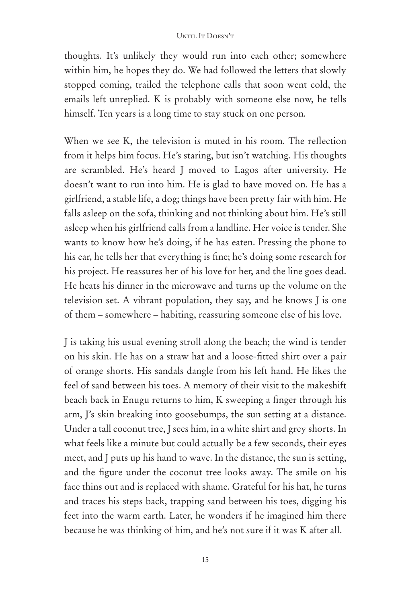thoughts. It's unlikely they would run into each other; somewhere within him, he hopes they do. We had followed the letters that slowly stopped coming, trailed the telephone calls that soon went cold, the emails left unreplied. K is probably with someone else now, he tells himself. Ten years is a long time to stay stuck on one person.

When we see K, the television is muted in his room. The reflection from it helps him focus. He's staring, but isn't watching. His thoughts are scrambled. He's heard J moved to Lagos after university. He doesn't want to run into him. He is glad to have moved on. He has a girlfriend, a stable life, a dog; things have been pretty fair with him. He falls asleep on the sofa, thinking and not thinking about him. He's still asleep when his girlfriend calls from a landline. Her voice is tender. She wants to know how he's doing, if he has eaten. Pressing the phone to his ear, he tells her that everything is fine; he's doing some research for his project. He reassures her of his love for her, and the line goes dead. He heats his dinner in the microwave and turns up the volume on the television set. A vibrant population, they say, and he knows J is one of them – somewhere – habiting, reassuring someone else of his love.

J is taking his usual evening stroll along the beach; the wind is tender on his skin. He has on a straw hat and a loose-fitted shirt over a pair of orange shorts. His sandals dangle from his left hand. He likes the feel of sand between his toes. A memory of their visit to the makeshift beach back in Enugu returns to him, K sweeping a finger through his arm, J's skin breaking into goosebumps, the sun setting at a distance. Under a tall coconut tree, J sees him, in a white shirt and grey shorts. In what feels like a minute but could actually be a few seconds, their eyes meet, and J puts up his hand to wave. In the distance, the sun is setting, and the figure under the coconut tree looks away. The smile on his face thins out and is replaced with shame. Grateful for his hat, he turns and traces his steps back, trapping sand between his toes, digging his feet into the warm earth. Later, he wonders if he imagined him there because he was thinking of him, and he's not sure if it was K after all.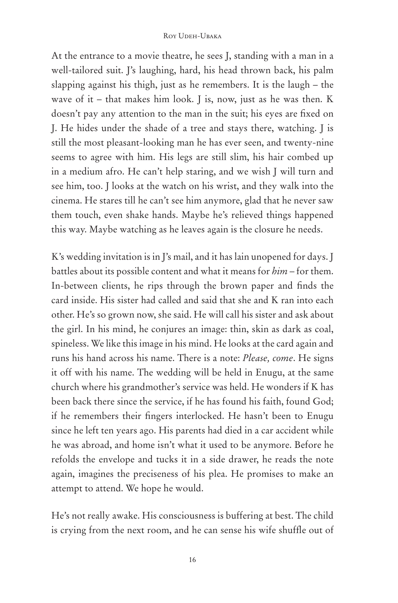At the entrance to a movie theatre, he sees J, standing with a man in a well-tailored suit. J's laughing, hard, his head thrown back, his palm slapping against his thigh, just as he remembers. It is the laugh – the wave of it – that makes him look.  $\bar{I}$  is, now, just as he was then. K doesn't pay any attention to the man in the suit; his eyes are fixed on J. He hides under the shade of a tree and stays there, watching. J is still the most pleasant-looking man he has ever seen, and twenty-nine seems to agree with him. His legs are still slim, his hair combed up in a medium afro. He can't help staring, and we wish J will turn and see him, too. J looks at the watch on his wrist, and they walk into the cinema. He stares till he can't see him anymore, glad that he never saw them touch, even shake hands. Maybe he's relieved things happened this way. Maybe watching as he leaves again is the closure he needs.

K's wedding invitation is in J's mail, and it has lain unopened for days. J battles about its possible content and what it means for *him* – for them. In-between clients, he rips through the brown paper and finds the card inside. His sister had called and said that she and K ran into each other. He's so grown now, she said. He will call his sister and ask about the girl. In his mind, he conjures an image: thin, skin as dark as coal, spineless. We like this image in his mind. He looks at the card again and runs his hand across his name. There is a note: *Please, come*. He signs it off with his name. The wedding will be held in Enugu, at the same church where his grandmother's service was held. He wonders if K has been back there since the service, if he has found his faith, found God; if he remembers their fingers interlocked. He hasn't been to Enugu since he left ten years ago. His parents had died in a car accident while he was abroad, and home isn't what it used to be anymore. Before he refolds the envelope and tucks it in a side drawer, he reads the note again, imagines the preciseness of his plea. He promises to make an attempt to attend. We hope he would.

He's not really awake. His consciousness is buffering at best. The child is crying from the next room, and he can sense his wife shuffle out of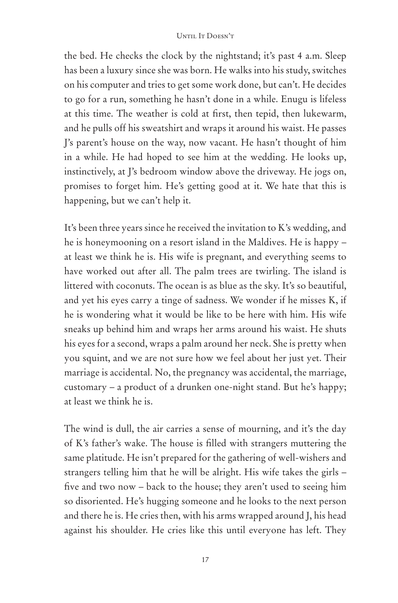the bed. He checks the clock by the nightstand; it's past 4 a.m. Sleep has been a luxury since she was born. He walks into his study, switches on his computer and tries to get some work done, but can't. He decides to go for a run, something he hasn't done in a while. Enugu is lifeless at this time. The weather is cold at first, then tepid, then lukewarm, and he pulls off his sweatshirt and wraps it around his waist. He passes J's parent's house on the way, now vacant. He hasn't thought of him in a while. He had hoped to see him at the wedding. He looks up, instinctively, at J's bedroom window above the driveway. He jogs on, promises to forget him. He's getting good at it. We hate that this is happening, but we can't help it.

It's been three years since he received the invitation to K's wedding, and he is honeymooning on a resort island in the Maldives. He is happy – at least we think he is. His wife is pregnant, and everything seems to have worked out after all. The palm trees are twirling. The island is littered with coconuts. The ocean is as blue as the sky. It's so beautiful, and yet his eyes carry a tinge of sadness. We wonder if he misses K, if he is wondering what it would be like to be here with him. His wife sneaks up behind him and wraps her arms around his waist. He shuts his eyes for a second, wraps a palm around her neck. She is pretty when you squint, and we are not sure how we feel about her just yet. Their marriage is accidental. No, the pregnancy was accidental, the marriage, customary – a product of a drunken one-night stand. But he's happy; at least we think he is.

The wind is dull, the air carries a sense of mourning, and it's the day of K's father's wake. The house is filled with strangers muttering the same platitude. He isn't prepared for the gathering of well-wishers and strangers telling him that he will be alright. His wife takes the girls – five and two now – back to the house; they aren't used to seeing him so disoriented. He's hugging someone and he looks to the next person and there he is. He cries then, with his arms wrapped around J, his head against his shoulder. He cries like this until everyone has left. They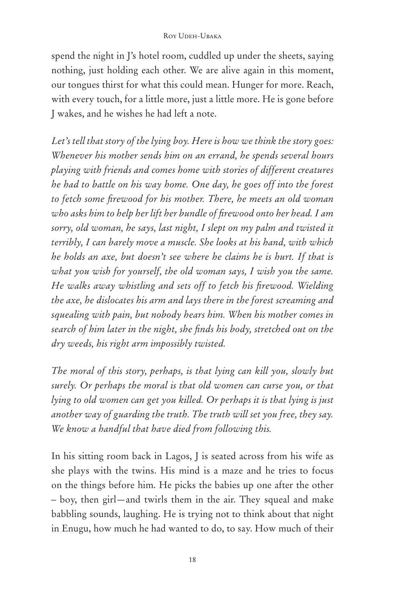spend the night in J's hotel room, cuddled up under the sheets, saying nothing, just holding each other. We are alive again in this moment, our tongues thirst for what this could mean. Hunger for more. Reach, with every touch, for a little more, just a little more. He is gone before J wakes, and he wishes he had left a note.

*Let's tell that story of the lying boy. Here is how we think the story goes: Whenever his mother sends him on an errand, he spends several hours playing with friends and comes home with stories of different creatures he had to battle on his way home. One day, he goes off into the forest to fetch some firewood for his mother. There, he meets an old woman who asks him to help her lift her bundle of firewood onto her head. I am sorry, old woman, he says, last night, I slept on my palm and twisted it terribly, I can barely move a muscle. She looks at his hand, with which he holds an axe, but doesn't see where he claims he is hurt. If that is what you wish for yourself, the old woman says, I wish you the same. He walks away whistling and sets off to fetch his firewood. Wielding the axe, he dislocates his arm and lays there in the forest screaming and squealing with pain, but nobody hears him. When his mother comes in search of him later in the night, she finds his body, stretched out on the dry weeds, his right arm impossibly twisted.* 

*The moral of this story, perhaps, is that lying can kill you, slowly but surely. Or perhaps the moral is that old women can curse you, or that lying to old women can get you killed. Or perhaps it is that lying is just another way of guarding the truth. The truth will set you free, they say. We know a handful that have died from following this.*

In his sitting room back in Lagos, J is seated across from his wife as she plays with the twins. His mind is a maze and he tries to focus on the things before him. He picks the babies up one after the other – boy, then girl—and twirls them in the air. They squeal and make babbling sounds, laughing. He is trying not to think about that night in Enugu, how much he had wanted to do, to say. How much of their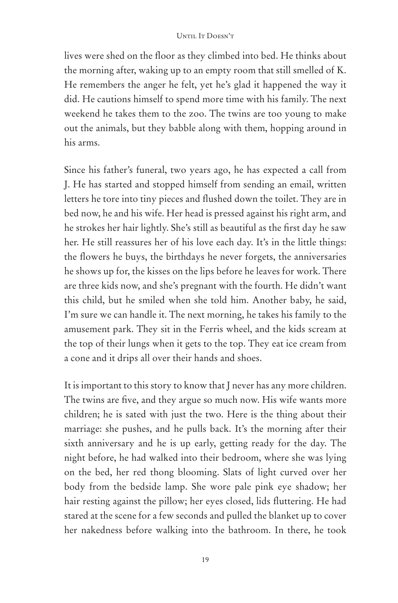lives were shed on the floor as they climbed into bed. He thinks about the morning after, waking up to an empty room that still smelled of K. He remembers the anger he felt, yet he's glad it happened the way it did. He cautions himself to spend more time with his family. The next weekend he takes them to the zoo. The twins are too young to make out the animals, but they babble along with them, hopping around in his arms.

Since his father's funeral, two years ago, he has expected a call from J. He has started and stopped himself from sending an email, written letters he tore into tiny pieces and flushed down the toilet. They are in bed now, he and his wife. Her head is pressed against his right arm, and he strokes her hair lightly. She's still as beautiful as the first day he saw her. He still reassures her of his love each day. It's in the little things: the flowers he buys, the birthdays he never forgets, the anniversaries he shows up for, the kisses on the lips before he leaves for work. There are three kids now, and she's pregnant with the fourth. He didn't want this child, but he smiled when she told him. Another baby, he said, I'm sure we can handle it. The next morning, he takes his family to the amusement park. They sit in the Ferris wheel, and the kids scream at the top of their lungs when it gets to the top. They eat ice cream from a cone and it drips all over their hands and shoes.

It is important to this story to know that J never has any more children. The twins are five, and they argue so much now. His wife wants more children; he is sated with just the two. Here is the thing about their marriage: she pushes, and he pulls back. It's the morning after their sixth anniversary and he is up early, getting ready for the day. The night before, he had walked into their bedroom, where she was lying on the bed, her red thong blooming. Slats of light curved over her body from the bedside lamp. She wore pale pink eye shadow; her hair resting against the pillow; her eyes closed, lids fluttering. He had stared at the scene for a few seconds and pulled the blanket up to cover her nakedness before walking into the bathroom. In there, he took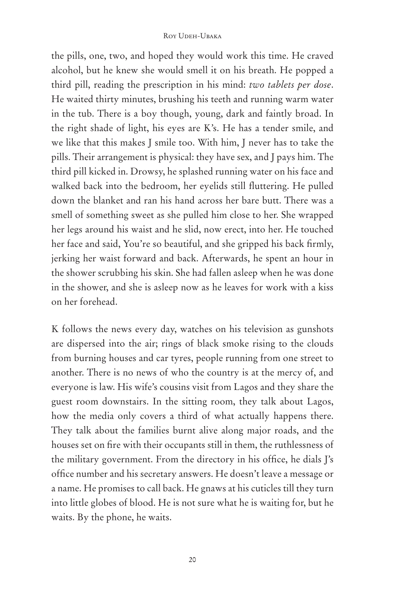#### Roy Udeh-Ubaka

the pills, one, two, and hoped they would work this time. He craved alcohol, but he knew she would smell it on his breath. He popped a third pill, reading the prescription in his mind: *two tablets per dose*. He waited thirty minutes, brushing his teeth and running warm water in the tub. There is a boy though, young, dark and faintly broad. In the right shade of light, his eyes are K's. He has a tender smile, and we like that this makes J smile too. With him, J never has to take the pills. Their arrangement is physical: they have sex, and J pays him. The third pill kicked in. Drowsy, he splashed running water on his face and walked back into the bedroom, her eyelids still fluttering. He pulled down the blanket and ran his hand across her bare butt. There was a smell of something sweet as she pulled him close to her. She wrapped her legs around his waist and he slid, now erect, into her. He touched her face and said, You're so beautiful, and she gripped his back firmly, jerking her waist forward and back. Afterwards, he spent an hour in the shower scrubbing his skin. She had fallen asleep when he was done in the shower, and she is asleep now as he leaves for work with a kiss on her forehead.

K follows the news every day, watches on his television as gunshots are dispersed into the air; rings of black smoke rising to the clouds from burning houses and car tyres, people running from one street to another. There is no news of who the country is at the mercy of, and everyone is law. His wife's cousins visit from Lagos and they share the guest room downstairs. In the sitting room, they talk about Lagos, how the media only covers a third of what actually happens there. They talk about the families burnt alive along major roads, and the houses set on fire with their occupants still in them, the ruthlessness of the military government. From the directory in his office, he dials J's office number and his secretary answers. He doesn't leave a message or a name. He promises to call back. He gnaws at his cuticles till they turn into little globes of blood. He is not sure what he is waiting for, but he waits. By the phone, he waits.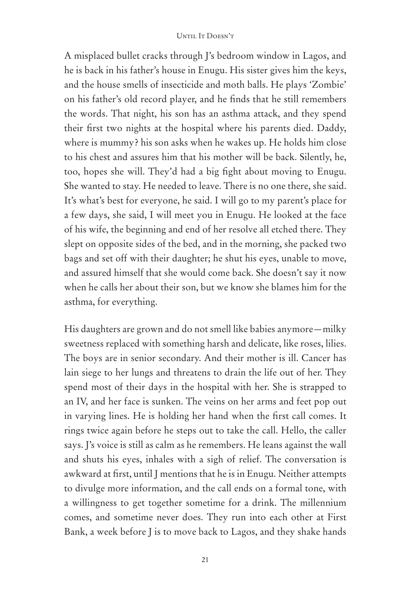A misplaced bullet cracks through J's bedroom window in Lagos, and he is back in his father's house in Enugu. His sister gives him the keys, and the house smells of insecticide and moth balls. He plays 'Zombie' on his father's old record player, and he finds that he still remembers the words. That night, his son has an asthma attack, and they spend their first two nights at the hospital where his parents died. Daddy, where is mummy? his son asks when he wakes up. He holds him close to his chest and assures him that his mother will be back. Silently, he, too, hopes she will. They'd had a big fight about moving to Enugu. She wanted to stay. He needed to leave. There is no one there, she said. It's what's best for everyone, he said. I will go to my parent's place for a few days, she said, I will meet you in Enugu. He looked at the face of his wife, the beginning and end of her resolve all etched there. They slept on opposite sides of the bed, and in the morning, she packed two bags and set off with their daughter; he shut his eyes, unable to move, and assured himself that she would come back. She doesn't say it now when he calls her about their son, but we know she blames him for the asthma, for everything.

His daughters are grown and do not smell like babies anymore—milky sweetness replaced with something harsh and delicate, like roses, lilies. The boys are in senior secondary. And their mother is ill. Cancer has lain siege to her lungs and threatens to drain the life out of her. They spend most of their days in the hospital with her. She is strapped to an IV, and her face is sunken. The veins on her arms and feet pop out in varying lines. He is holding her hand when the first call comes. It rings twice again before he steps out to take the call. Hello, the caller says. J's voice is still as calm as he remembers. He leans against the wall and shuts his eyes, inhales with a sigh of relief. The conversation is awkward at first, until J mentions that he is in Enugu. Neither attempts to divulge more information, and the call ends on a formal tone, with a willingness to get together sometime for a drink. The millennium comes, and sometime never does. They run into each other at First Bank, a week before J is to move back to Lagos, and they shake hands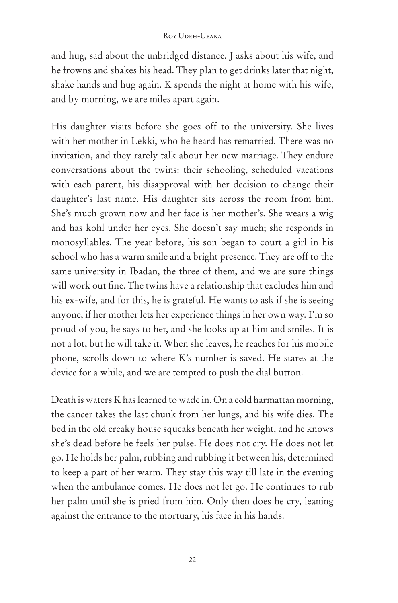# Roy Udeh-Ubaka

and hug, sad about the unbridged distance. J asks about his wife, and he frowns and shakes his head. They plan to get drinks later that night, shake hands and hug again. K spends the night at home with his wife, and by morning, we are miles apart again.

His daughter visits before she goes off to the university. She lives with her mother in Lekki, who he heard has remarried. There was no invitation, and they rarely talk about her new marriage. They endure conversations about the twins: their schooling, scheduled vacations with each parent, his disapproval with her decision to change their daughter's last name. His daughter sits across the room from him. She's much grown now and her face is her mother's. She wears a wig and has kohl under her eyes. She doesn't say much; she responds in monosyllables. The year before, his son began to court a girl in his school who has a warm smile and a bright presence. They are off to the same university in Ibadan, the three of them, and we are sure things will work out fine. The twins have a relationship that excludes him and his ex-wife, and for this, he is grateful. He wants to ask if she is seeing anyone, if her mother lets her experience things in her own way. I'm so proud of you, he says to her, and she looks up at him and smiles. It is not a lot, but he will take it. When she leaves, he reaches for his mobile phone, scrolls down to where K's number is saved. He stares at the device for a while, and we are tempted to push the dial button.

Death is waters K has learned to wade in. On a cold harmattan morning, the cancer takes the last chunk from her lungs, and his wife dies. The bed in the old creaky house squeaks beneath her weight, and he knows she's dead before he feels her pulse. He does not cry. He does not let go. He holds her palm, rubbing and rubbing it between his, determined to keep a part of her warm. They stay this way till late in the evening when the ambulance comes. He does not let go. He continues to rub her palm until she is pried from him. Only then does he cry, leaning against the entrance to the mortuary, his face in his hands.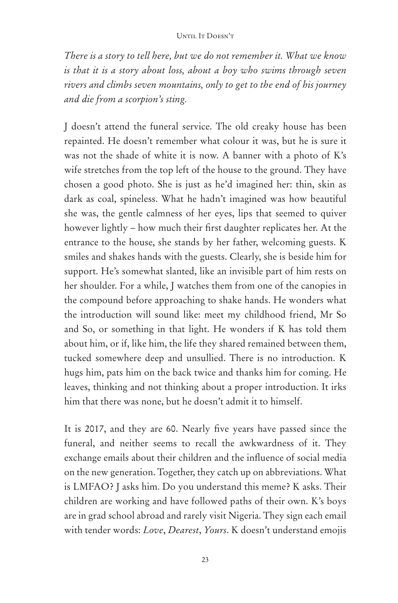*There is a story to tell here, but we do not remember it. What we know is that it is a story about loss, about a boy who swims through seven rivers and climbs seven mountains, only to get to the end of his journey and die from a scorpion's sting.*

J doesn't attend the funeral service. The old creaky house has been repainted. He doesn't remember what colour it was, but he is sure it was not the shade of white it is now. A banner with a photo of K's wife stretches from the top left of the house to the ground. They have chosen a good photo. She is just as he'd imagined her: thin, skin as dark as coal, spineless. What he hadn't imagined was how beautiful she was, the gentle calmness of her eyes, lips that seemed to quiver however lightly – how much their first daughter replicates her. At the entrance to the house, she stands by her father, welcoming guests. K smiles and shakes hands with the guests. Clearly, she is beside him for support. He's somewhat slanted, like an invisible part of him rests on her shoulder. For a while, J watches them from one of the canopies in the compound before approaching to shake hands. He wonders what the introduction will sound like: meet my childhood friend, Mr So and So, or something in that light. He wonders if K has told them about him, or if, like him, the life they shared remained between them, tucked somewhere deep and unsullied. There is no introduction. K hugs him, pats him on the back twice and thanks him for coming. He leaves, thinking and not thinking about a proper introduction. It irks him that there was none, but he doesn't admit it to himself.

It is 2017, and they are 60. Nearly five years have passed since the funeral, and neither seems to recall the awkwardness of it. They exchange emails about their children and the influence of social media on the new generation. Together, they catch up on abbreviations. What is LMFAO? J asks him. Do you understand this meme? K asks. Their children are working and have followed paths of their own. K's boys are in grad school abroad and rarely visit Nigeria. They sign each email with tender words: *Love*, *Dearest*, *Yours*. K doesn't understand emojis